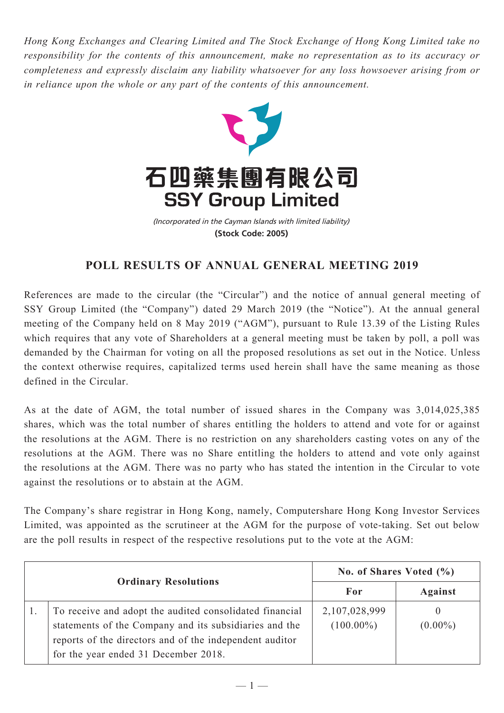*Hong Kong Exchanges and Clearing Limited and The Stock Exchange of Hong Kong Limited take no responsibility for the contents of this announcement, make no representation as to its accuracy or completeness and expressly disclaim any liability whatsoever for any loss howsoever arising from or in reliance upon the whole or any part of the contents of this announcement.*



(Incorporated in the Cayman Islands with limited liability) **(Stock Code: 2005)**

## **POLL RESULTS OF ANNUAL GENERAL MEETING 2019**

References are made to the circular (the "Circular") and the notice of annual general meeting of SSY Group Limited (the "Company") dated 29 March 2019 (the "Notice"). At the annual general meeting of the Company held on 8 May 2019 ("AGM"), pursuant to Rule 13.39 of the Listing Rules which requires that any vote of Shareholders at a general meeting must be taken by poll, a poll was demanded by the Chairman for voting on all the proposed resolutions as set out in the Notice. Unless the context otherwise requires, capitalized terms used herein shall have the same meaning as those defined in the Circular.

As at the date of AGM, the total number of issued shares in the Company was 3,014,025,385 shares, which was the total number of shares entitling the holders to attend and vote for or against the resolutions at the AGM. There is no restriction on any shareholders casting votes on any of the resolutions at the AGM. There was no Share entitling the holders to attend and vote only against the resolutions at the AGM. There was no party who has stated the intention in the Circular to vote against the resolutions or to abstain at the AGM.

The Company's share registrar in Hong Kong, namely, Computershare Hong Kong Investor Services Limited, was appointed as the scrutineer at the AGM for the purpose of vote-taking. Set out below are the poll results in respect of the respective resolutions put to the vote at the AGM:

| <b>Ordinary Resolutions</b> |                                                                                                                                                                                                                      | No. of Shares Voted $(\% )$   |                        |
|-----------------------------|----------------------------------------------------------------------------------------------------------------------------------------------------------------------------------------------------------------------|-------------------------------|------------------------|
|                             |                                                                                                                                                                                                                      | For                           | <b>Against</b>         |
|                             | To receive and adopt the audited consolidated financial<br>statements of the Company and its subsidiaries and the<br>reports of the directors and of the independent auditor<br>for the year ended 31 December 2018. | 2,107,028,999<br>$(100.00\%)$ | $\theta$<br>$(0.00\%)$ |